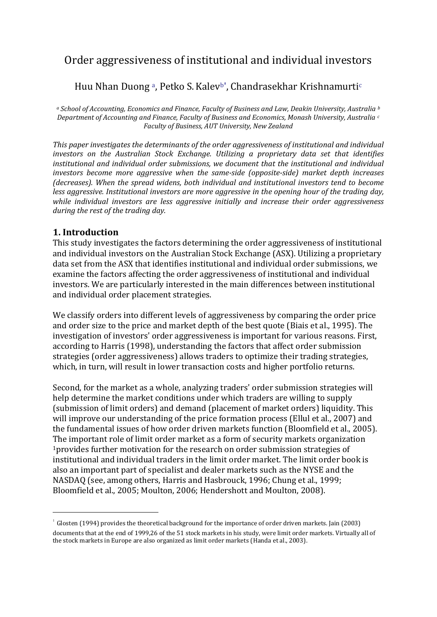# Order aggressiveness of institutional and individual investors

## Huu Nh[a](#page-0-0)n Duong<sup>a</sup>, Petko S. Kalev<sup>[b](#page-0-1)'</sup>, Chandrasekhar Kr[i](#page-0-2)shnamurti<sup>c</sup>

<span id="page-0-2"></span><span id="page-0-1"></span><span id="page-0-0"></span>*<sup>a</sup> School of Accounting, Economics and Finance, Faculty of Business and Law, Deakin University, Australia <sup>b</sup> Department of Accounting and Finance, Faculty of Business and Economics, Monash University, Australia <sup>c</sup> Faculty of Business, AUT University, New Zealand*

*This paper investigates the determinants of the order aggressiveness of institutional and individual investors on the Australian Stock Exchange. Utilizing a proprietary data set that identifies institutional and individual order submissions, we document that the institutional and individual investors become more aggressive when the same-side (opposite-side) market depth increases (decreases). When the spread widens, both individual and institutional investors tend to become less aggressive. Institutional investors are more aggressive in the opening hour of the trading day, while individual investors are less aggressive initially and increase their order aggressiveness during the rest of the trading day.*

### **1. Introduction**

.

This study investigates the factors determining the order aggressiveness of institutional and individual investors on the Australian Stock Exchange (ASX). Utilizing a proprietary data set from the ASX that identifies institutional and individual order submissions, we examine the factors affecting the order aggressiveness of institutional and individual investors. We are particularly interested in the main differences between institutional and individual order placement strategies.

We classify orders into different levels of aggressiveness by comparing the order price and order size to the price and market depth of the best quote [\(Biais et al., 1995\)](#page-16-0). The investigation of investors' order aggressiveness is important for various reasons. First, according to [Harris \(1998\),](#page-17-0) understanding the factors that affect order submission strategies (order aggressiveness) allows traders to optimize their trading strategies, which, in turn, will result in lower transaction costs and higher portfolio returns.

Second, for the market as a whole, analyzing traders' order submission strategies will help determine the market conditions under which traders are willing to supply (submission of limit orders) and demand (placement of market orders) liquidity. This will improve our understanding of the price formation process [\(Ellul et al., 2007\)](#page-17-1) and the fundamental issues of how order driven markets function [\(Bloomfield et al., 2005\)](#page-16-1). The important role of limit order market as a form of security markets organization <sup>1</sup>provides further motivation for the research on order submission strategies of institutional and individual traders in the limit order market. The limit order book is also an important part of specialist and dealer markets such as the NYSE and the NASDAQ (see, among others, [Harris and Hasbrouck, 1996; Chung et al., 1999;](#page-17-0)  [Bloomfield et al., 2005; Moulton, 2006; Hendershott and Moulton, 2008\)](#page-17-0).

 $1$  [Glosten \(1994\)](#page-17-2) provides the theoretical background for the importance of order driven markets[. Jain \(2003\)](#page-17-0) documents that at the end of 1999,26 of the 51 stock markets in his study, were limit order markets. Virtually all of the stock markets in Europe are also organized as limit order markets [\(Handa et al., 2003\)](#page-17-0).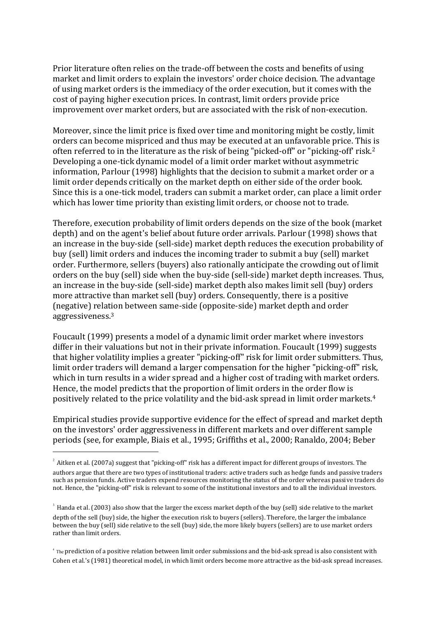Prior literature often relies on the trade-off between the costs and benefits of using market and limit orders to explain the investors' order choice decision. The advantage of using market orders is the immediacy of the order execution, but it comes with the cost of paying higher execution prices. In contrast, limit orders provide price improvement over market orders, but are associated with the risk of non-execution.

Moreover, since the limit price is fixed over time and monitoring might be costly, limit orders can become mispriced and thus may be executed at an unfavorable price. This is often referred to in the literature as the risk of being "picked-off" or "picking-off' risk.<sup>2</sup> Developing a one-tick dynamic model of a limit order market without asymmetric information, [Parlour \(1998\)](#page-17-0) highlights that the decision to submit a market order or a limit order depends critically on the market depth on either side of the order book. Since this is a one-tick model, traders can submit a market order, can place a limit order which has lower time priority than existing limit orders, or choose not to trade.

Therefore, execution probability of limit orders depends on the size of the book (market depth) and on the agent's belief about future order arrivals. [Parlour \(1998\)](#page-17-0) shows that an increase in the buy-side (sell-side) market depth reduces the execution probability of buy (sell) limit orders and induces the incoming trader to submit a buy (sell) market order. Furthermore, sellers (buyers) also rationally anticipate the crowding out of limit orders on the buy (sell) side when the buy-side (sell-side) market depth increases. Thus, an increase in the buy-side (sell-side) market depth also makes limit sell (buy) orders more attractive than market sell (buy) orders. Consequently, there is a positive (negative) relation between same-side (opposite-side) market depth and order aggressiveness.<sup>3</sup>

[Foucault \(1999\)](#page-17-3) presents a model of a dynamic limit order market where investors differ in their valuations but not in their private information. [Foucault \(1999\)](#page-17-3) suggests that higher volatility implies a greater "picking-off" risk for limit order submitters. Thus, limit order traders will demand a larger compensation for the higher "picking-off" risk, which in turn results in a wider spread and a higher cost of trading with market orders. Hence, the model predicts that the proportion of limit orders in the order flow is positively related to the price volatility and the bid-ask spread in limit order markets.<sup>4</sup>

Empirical studies provide supportive evidence for the effect of spread and market depth on the investors' order aggressiveness in different markets and over different sample periods (see, for example, [Biais et al., 1995; Griffiths et al., 2000; Ranaldo, 2004; Beber](#page-16-0) 

<sup>&</sup>lt;sup>2</sup> [Aitken et al. \(2007a\)](#page-15-0) suggest that "picking-off" risk has a different impact for different groups of investors. The authors argue that there are two types of institutional traders: active traders such as hedge funds and passive traders such as pension funds. Active traders expend resources monitoring the status of the order whereas passive traders do not. Hence, the "picking-off" risk is relevant to some of the institutional investors and to all the individual investors.

 $3$  [Handa et al. \(2003\)](#page-17-0) also show that the larger the excess market depth of the buy (sell) side relative to the market depth of the sell (buy) side, the higher the execution risk to buyers (sellers). Therefore, the larger the imbalance between the buy (sell) side relative to the sell (buy) side, the more likely buyers (sellers) are to use market orders rather than limit orders.

<sup>4</sup> The prediction of a positive relation between limit order submissions and the bid-ask spread is also consistent with [Cohen et al.'s \(1981\)](#page-16-2) theoretical model, in which limit orders become more attractive as the bid-ask spread increases.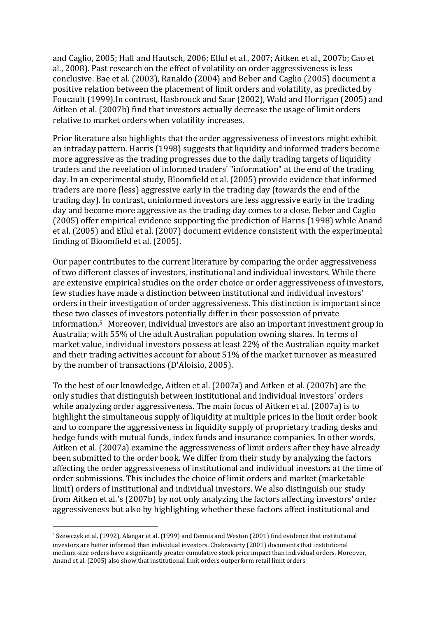and Caglio, 2005; Hall and Hautsch, 2006; Ellul et al., 2007; Aitken et al., 2007b; Cao et al., 2008). Past research on the effect of volatility on order aggressiveness is less conclusive. [Bae et al. \(2003\),](#page-16-3) [Ranaldo \(2004\)](#page-17-0) and [Beber and Caglio \(2005\)](#page-16-4) document a positive relation between the placement of limit orders and volatility, as predicted by [Foucault \(1999\).](#page-17-3)In contrast, [Hasbrouck and Saar \(2002\), Wald and Horrigan \(2005\)](#page-17-0) and [Aitken et al. \(2007b\)](#page-15-0) find that investors actually decrease the usage of limit orders relative to market orders when volatility increases.

Prior literature also highlights that the order aggressiveness of investors might exhibit an intraday pattern[. Harris \(1998\)](#page-17-0) suggests that liquidity and informed traders become more aggressive as the trading progresses due to the daily trading targets of liquidity traders and the revelation of informed traders' "information" at the end of the trading day. In an experimental study, [Bloomfield et al. \(2005\)](#page-16-1) provide evidence that informed traders are more (less) aggressive early in the trading day (towards the end of the trading day). In contrast, uninformed investors are less aggressive early in the trading day and become more aggressive as the trading day comes to a close. [Beber and Caglio](#page-16-4)  [\(2005\)](#page-16-4) offer empirical evidence supporting the prediction o[f Harris \(1998\)](#page-17-0) while [Anand](#page-16-5)  [et al. \(2005\)](#page-16-5) and [Ellul et al. \(2007\)](#page-17-1) document evidence consistent with the experimental finding of [Bloomfield et al. \(2005\).](#page-16-1)

Our paper contributes to the current literature by comparing the order aggressiveness of two different classes of investors, institutional and individual investors. While there are extensive empirical studies on the order choice or order aggressiveness of investors, few studies have made a distinction between institutional and individual investors' orders in their investigation of order aggressiveness. This distinction is important since these two classes of investors potentially differ in their possession of private information.<sup>5</sup> Moreover, individual investors are also an important investment group in Australia; with 55% of the adult Australian population owning shares. In terms of market value, individual investors possess at least 22% of the Australian equity market and their trading activities account for about 51% of the market turnover as measured by the number of transactions [\(D'Aloisio, 2005\)](#page-16-6).

To the best of our knowledge, [Aitken et al. \(2007a\)](#page-15-0) and [Aitken et al. \(2007b\)](#page-15-0) are the only studies that distinguish between institutional and individual investors' orders while analyzing order aggressiveness. The main focus of Aitken et [al. \(2007a\)](#page-15-0) is to highlight the simultaneous supply of liquidity at multiple prices in the limit order book and to compare the aggressiveness in liquidity supply of proprietary trading desks and hedge funds with mutual funds, index funds and insurance companies. In other words, [Aitken et al. \(2007a\)](#page-15-0) examine the aggressiveness of limit orders after they have already been submitted to the order book. We differ from their study by analyzing the factors affecting the order aggressiveness of institutional and individual investors at the time of order submissions. This includes the choice of limit orders and market (marketable limit) orders of institutional and individual investors. We also distinguish our study from [Aitken et al.'s \(2007b\)](#page-15-0) by not only analyzing the factors affecting investors' order aggressiveness but also by highlighting whether these factors affect institutional and

<sup>&</sup>lt;sup>5</sup> [Szewczyk et al. \(1992\),](#page-17-0) [Alangar et al. \(1999\)](#page-16-7) an[d Dennis and Weston \(2001\)](#page-17-4) find evidence that institutional investors are better informed than individual investors[. Chakravarty \(2001\)](#page-16-8) documents that institutional medium-size orders have a signiicantly greater cumulative stock price impact than individual orders. Moreover, [Anand et al. \(2005\)](#page-16-5) also show that institutional limit orders outperform retail limit orders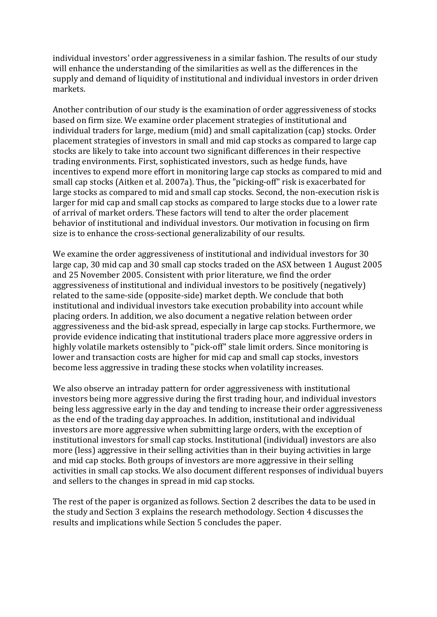individual investors' order aggressiveness in a similar fashion. The results of our study will enhance the understanding of the similarities as well as the differences in the supply and demand of liquidity of institutional and individual investors in order driven markets.

Another contribution of our study is the examination of order aggressiveness of stocks based on firm size. We examine order placement strategies of institutional and individual traders for large, medium (mid) and small capitalization (cap) stocks. Order placement strategies of investors in small and mid cap stocks as compared to large cap stocks are likely to take into account two significant differences in their respective trading environments. First, sophisticated investors, such as hedge funds, have incentives to expend more effort in monitoring large cap stocks as compared to mid and small cap stocks [\(Aitken et al. 2007a\)](#page-15-0). Thus, the "picking-off" risk is exacerbated for large stocks as compared to mid and small cap stocks. Second, the non-execution risk is larger for mid cap and small cap stocks as compared to large stocks due to a lower rate of arrival of market orders. These factors will tend to alter the order placement behavior of institutional and individual investors. Our motivation in focusing on firm size is to enhance the cross-sectional generalizability of our results.

We examine the order aggressiveness of institutional and individual investors for 30 large cap, 30 mid cap and 30 small cap stocks traded on the ASX between 1 August 2005 and 25 November 2005. Consistent with prior literature, we find the order aggressiveness of institutional and individual investors to be positively (negatively) related to the same-side (opposite-side) market depth. We conclude that both institutional and individual investors take execution probability into account while placing orders. In addition, we also document a negative relation between order aggressiveness and the bid-ask spread, especially in large cap stocks. Furthermore, we provide evidence indicating that institutional traders place more aggressive orders in highly volatile markets ostensibly to "pick-off" stale limit orders. Since monitoring is lower and transaction costs are higher for mid cap and small cap stocks, investors become less aggressive in trading these stocks when volatility increases.

<span id="page-3-0"></span>We also observe an intraday pattern for order aggressiveness with institutional investors being more aggressive during the first trading hour, and individual investors being less aggressive early in the day and tending to increase their order aggressiveness as the end of the trading day approaches. In addition, institutional and individual investors are more aggressive when submitting large orders, with the exception of institutional investors for small cap stocks. Institutional (individual) investors are also more (less) aggressive in their selling activities than in their buying activities in large and mid cap stocks. Both groups of investors are more aggressive in their selling activities in small cap stocks. We also document different responses of individual buyers and sellers to the changes in spread in mid cap stocks.

The rest of the paper is organized as follows. [Section 2](#page-3-0) describes the data to be used in the study and [Section 3](#page-4-0) explains the research methodology. [Section 4](#page-7-0) discusses the results and implications while [Section 5 c](#page-15-1)oncludes the paper.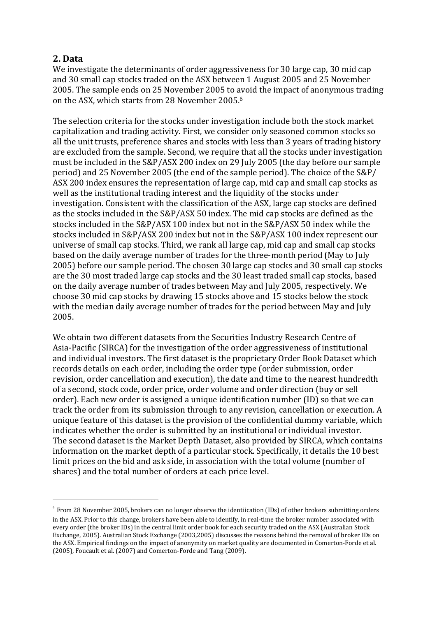## **2. Data**

<span id="page-4-0"></span><u>.</u>

We investigate the determinants of order aggressiveness for 30 large cap, 30 mid cap and 30 small cap stocks traded on the ASX between 1 August 2005 and 25 November 2005. The sample ends on 25 November 2005 to avoid the impact of anonymous trading on the ASX, which starts from 28 November 2005.<sup>6</sup>

The selection criteria for the stocks under investigation include both the stock market capitalization and trading activity. First, we consider only seasoned common stocks so all the unit trusts, preference shares and stocks with less than 3 years of trading history are excluded from the sample. Second, we require that all the stocks under investigation must be included in the S&P/ASX 200 index on 29 July 2005 (the day before our sample period) and 25 November 2005 (the end of the sample period). The choice of the S&P/ ASX 200 index ensures the representation of large cap, mid cap and small cap stocks as well as the institutional trading interest and the liquidity of the stocks under investigation. Consistent with the classification of the ASX, large cap stocks are defined as the stocks included in the S&P/ASX 50 index. The mid cap stocks are defined as the stocks included in the S&P/ASX 100 index but not in the S&P/ASX 50 index while the stocks included in S&P/ASX 200 index but not in the S&P/ASX 100 index represent our universe of small cap stocks. Third, we rank all large cap, mid cap and small cap stocks based on the daily average number of trades for the three-month period (May to July 2005) before our sample period. The chosen 30 large cap stocks and 30 small cap stocks are the 30 most traded large cap stocks and the 30 least traded small cap stocks, based on the daily average number of trades between May and July 2005, respectively. We choose 30 mid cap stocks by drawing 15 stocks above and 15 stocks below the stock with the median daily average number of trades for the period between May and July 2005.

We obtain two different datasets from the Securities Industry Research Centre of Asia-Pacific (SIRCA) for the investigation of the order aggressiveness of institutional and individual investors. The first dataset is the proprietary Order Book Dataset which records details on each order, including the order type (order submission, order revision, order cancellation and execution), the date and time to the nearest hundredth of a second, stock code, order price, order volume and order direction (buy or sell order). Each new order is assigned a unique identification number (ID) so that we can track the order from its submission through to any revision, cancellation or execution. A unique feature of this dataset is the provision of the confidential dummy variable, which indicates whether the order is submitted by an institutional or individual investor. The second dataset is the Market Depth Dataset, also provided by SIRCA, which contains information on the market depth of a particular stock. Specifically, it details the 10 best limit prices on the bid and ask side, in association with the total volume (number of shares) and the total number of orders at each price level.

 $^6$  From 28 November 2005, brokers can no longer observe the identiication (IDs) of other brokers submitting orders in the ASX. Prior to this change, brokers have been able to identify, in real-time the broker number associated with every order (the broker IDs) in the central limit order book for each security traded on the ASX [\(Australian Stock](#page-16-9)  [Exchange, 2005\)](#page-16-9)[. Australian Stock Exchange \(2003,2005\)](#page-16-10) discusses the reasons behind the removal of broker IDs on the ASX. Empirical findings on the impact of anonymity on market quality are documented i[n Comerton-Forde et al.](#page-16-11)  [\(2005\),](#page-16-11) [Foucault et al. \(2007\)](#page-17-5) an[d Comerton-Forde and Tang \(2009\).](#page-16-12)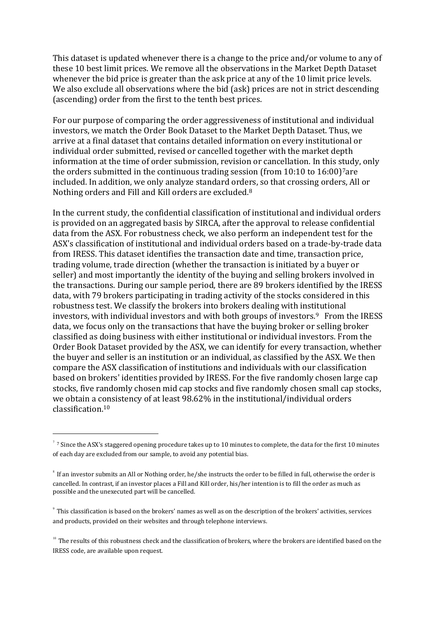This dataset is updated whenever there is a change to the price and/or volume to any of these 10 best limit prices. We remove all the observations in the Market Depth Dataset whenever the bid price is greater than the ask price at any of the 10 limit price levels. We also exclude all observations where the bid (ask) prices are not in strict descending (ascending) order from the first to the tenth best prices.

For our purpose of comparing the order aggressiveness of institutional and individual investors, we match the Order Book Dataset to the Market Depth Dataset. Thus, we arrive at a final dataset that contains detailed information on every institutional or individual order submitted, revised or cancelled together with the market depth information at the time of order submission, revision or cancellation. In this study, only the orders submitted in the continuous trading session (from 10:10 to 16:00)<sup>7</sup>are included. In addition, we only analyze standard orders, so that crossing orders, All or Nothing orders and Fill and Kill orders are excluded.<sup>8</sup>

In the current study, the confidential classification of institutional and individual orders is provided on an aggregated basis by SIRCA, after the approval to release confidential data from the ASX. For robustness check, we also perform an independent test for the ASX's classification of institutional and individual orders based on a trade-by-trade data from IRESS. This dataset identifies the transaction date and time, transaction price, trading volume, trade direction (whether the transaction is initiated by a buyer or seller) and most importantly the identity of the buying and selling brokers involved in the transactions. During our sample period, there are 89 brokers identified by the IRESS data, with 79 brokers participating in trading activity of the stocks considered in this robustness test. We classify the brokers into brokers dealing with institutional investors, with individual investors and with both groups of investors.<sup>9</sup> From the IRESS data, we focus only on the transactions that have the buying broker or selling broker classified as doing business with either institutional or individual investors. From the Order Book Dataset provided by the ASX, we can identify for every transaction, whether the buyer and seller is an institution or an individual, as classified by the ASX. We then compare the ASX classification of institutions and individuals with our classification based on brokers' identities provided by IRESS. For the five randomly chosen large cap stocks, five randomly chosen mid cap stocks and five randomly chosen small cap stocks, we obtain a consistency of at least 98.62% in the institutional/individual orders classification.<sup>10</sup>

 $77$  Since the ASX's staggered opening procedure takes up to 10 minutes to complete, the data for the first 10 minutes of each day are excluded from our sample, to avoid any potential bias.

 $^8$  If an investor submits an All or Nothing order, he/she instructs the order to be filled in full, otherwise the order is cancelled. In contrast, if an investor places a Fill and Kill order, his/her intention is to fill the order as much as possible and the unexecuted part will be cancelled.

 $^9$  This classification is based on the brokers' names as well as on the description of the brokers' activities, services and products, provided on their websites and through telephone interviews.

 $10$  The results of this robustness check and the classification of brokers, where the brokers are identified based on the IRESS code, are available upon request.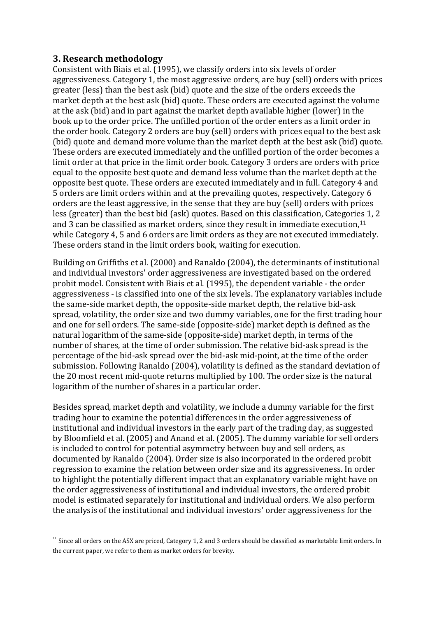## **3. Research methodology**

.

Consistent wit[h Biais et al. \(1995\),](#page-16-0) we classify orders into six levels of order aggressiveness. Category 1, the most aggressive orders, are buy (sell) orders with prices greater (less) than the best ask (bid) quote and the size of the orders exceeds the market depth at the best ask (bid) quote. These orders are executed against the volume at the ask (bid) and in part against the market depth available higher (lower) in the book up to the order price. The unfilled portion of the order enters as a limit order in the order book. Category 2 orders are buy (sell) orders with prices equal to the best ask (bid) quote and demand more volume than the market depth at the best ask (bid) quote. These orders are executed immediately and the unfilled portion of the order becomes a limit order at that price in the limit order book. Category 3 orders are orders with price equal to the opposite best quote and demand less volume than the market depth at the opposite best quote. These orders are executed immediately and in full. Category 4 and 5 orders are limit orders within and at the prevailing quotes, respectively. Category 6 orders are the least aggressive, in the sense that they are buy (sell) orders with prices less (greater) than the best bid (ask) quotes. Based on this classification, Categories 1, 2 and 3 can be classified as market orders, since they result in immediate execution,<sup>11</sup> while Category 4, 5 and 6 orders are limit orders as they are not executed immediately. These orders stand in the limit orders book, waiting for execution.

Building on [Griffiths et al. \(2000\)](#page-17-0) and [Ranaldo \(2004\),](#page-17-0) the determinants of institutional and individual investors' order aggressiveness are investigated based on the ordered probit model. Consistent with [Biais et al. \(1995\),](#page-16-0) the dependent variable - the order aggressiveness - is classified into one of the six levels. The explanatory variables include the same-side market depth, the opposite-side market depth, the relative bid-ask spread, volatility, the order size and two dummy variables, one for the first trading hour and one for sell orders. The same-side (opposite-side) market depth is defined as the natural logarithm of the same-side (opposite-side) market depth, in terms of the number of shares, at the time of order submission. The relative bid-ask spread is the percentage of the bid-ask spread over the bid-ask mid-point, at the time of the order submission. Following [Ranaldo \(2004\),](#page-17-0) volatility is defined as the standard deviation of the 20 most recent mid-quote returns multiplied by 100. The order size is the natural logarithm of the number of shares in a particular order.

Besides spread, market depth and volatility, we include a dummy variable for the first trading hour to examine the potential differences in the order aggressiveness of institutional and individual investors in the early part of the trading day, as suggested by [Bloomfield et al. \(2005\)](#page-16-1) and [Anand et al. \(2005\).](#page-16-5) The dummy variable for sell orders is included to control for potential asymmetry between buy and sell orders, as documented by [Ranaldo \(2004\).](#page-17-0) Order size is also incorporated in the ordered probit regression to examine the relation between order size and its aggressiveness. In order to highlight the potentially different impact that an explanatory variable might have on the order aggressiveness of institutional and individual investors, the ordered probit model is estimated separately for institutional and individual orders. We also perform the analysis of the institutional and individual investors' order aggressiveness for the

 $11$  Since all orders on the ASX are priced, Category 1, 2 and 3 orders should be classified as marketable limit orders. In the current paper, we refer to them as market orders for brevity.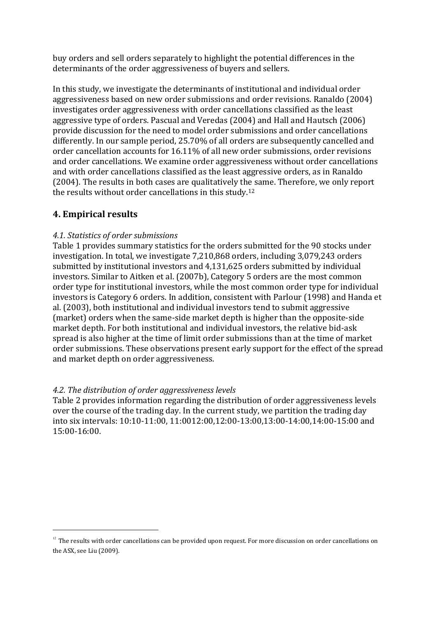buy orders and sell orders separately to highlight the potential differences in the determinants of the order aggressiveness of buyers and sellers.

In this study, we investigate the determinants of institutional and individual order aggressiveness based on new order submissions and order revisions. [Ranaldo \(2004\)](#page-17-0) investigates order aggressiveness with order cancellations classified as the least aggressive type of orders. [Pascual and Veredas \(2004\)](#page-17-0) and [Hall and Hautsch \(2006\)](#page-17-0) provide discussion for the need to model order submissions and order cancellations differently. In our sample period, 25.70% of all orders are subsequently cancelled and order cancellation accounts for 16.11% of all new order submissions, order revisions and order cancellations. We examine order aggressiveness without order cancellations and with order cancellations classified as the least aggressive orders, as in [Ranaldo](#page-17-0)  [\(2004\).](#page-17-0) The results in both cases are qualitatively the same. Therefore, we only report the results without order cancellations in this study.<sup>12</sup>

## <span id="page-7-0"></span>**4. Empirical results**

.

### *4.1. Statistics of order submissions*

[Table 1](#page-8-0) provides summary statistics for the orders submitted for the 90 stocks under investigation. In total, we investigate 7,210,868 orders, including 3,079,243 orders submitted by institutional investors and 4,131,625 orders submitted by individual investors. Similar to [Aitken et al. \(2007b\),](#page-15-0) Category 5 orders are the most common order type for institutional investors, while the most common order type for individual investors is Category 6 orders. In addition, consistent with [Parlour \(1998\)](#page-17-0) and [Handa et](#page-17-0)  [al. \(2003\),](#page-17-0) both institutional and individual investors tend to submit aggressive (market) orders when the same-side market depth is higher than the opposite-side market depth. For both institutional and individual investors, the relative bid-ask spread is also higher at the time of limit order submissions than at the time of market order submissions. These observations present early support for the effect of the spread and market depth on order aggressiveness.

### *4.2. The distribution of order aggressiveness levels*

Table 2 provides information regarding the distribution of order aggressiveness levels over the course of the trading day. In the current study, we partition the trading day into six intervals: 10:10-11:00, 11:0012:00,12:00-13:00,13:00-14:00,14:00-15:00 and 15:00-16:00.

 $12$  The results with order cancellations can be provided upon request. For more discussion on order cancellations on the ASX, se[e Liu \(2009\).](#page-17-0)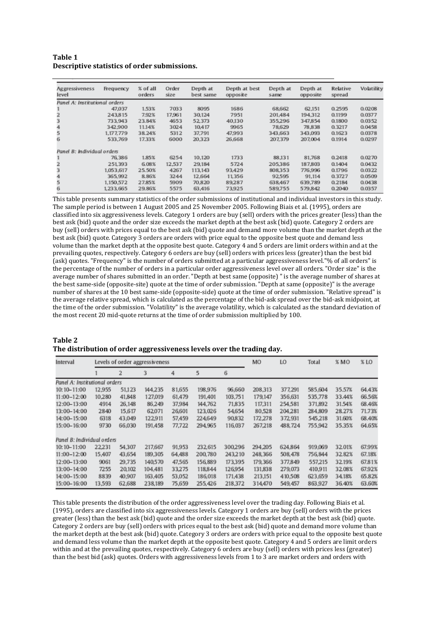<span id="page-8-0"></span>

| Table 1                                      |  |
|----------------------------------------------|--|
| Descriptive statistics of order submissions. |  |

| Aggressiveness<br>level       | Frequency | % of all<br>orders | Order<br>size | Depth at<br>best same | Depth at best<br>opposite | Depth at<br>same | Depth at<br>opposite | Relative<br>spread | Volatility |
|-------------------------------|-----------|--------------------|---------------|-----------------------|---------------------------|------------------|----------------------|--------------------|------------|
| Panel A: Institutional orders |           |                    |               |                       |                           |                  |                      |                    |            |
|                               | 47.037    | 1.53%              | 7033          | 8095                  | 1686                      | 68.662           | 62,151               | 0.2595             | 0.0208     |
|                               | 243,815   | 7.92%              | 17.961        | 30,124                | 7951                      | 201,484          | 194.312              | 0.1199             | 0.0377     |
|                               | 733.943   | 23.84%             | 4653          | 52,373                | 40,130                    | 355,296          | 347,854              | 0.1800             | 0.0352     |
| 4                             | 342,900   | 11.14%             | 3024          | 10.417                | 9965                      | 78,629           | 78,838               | 0.3217             | 0.0458     |
| 5                             | 1.177.779 | 38.24%             | 5312          | 37.791                | 47.993                    | 343,663          | 343.093              | 0.1623             | 0.0378     |
| 6                             | 533,769   | 17.33%             | 6000          | 20,323                | 26,668                    | 207,379          | 207.004              | 0.1914             | 0.0297     |
| Panel B: Individual orders    |           |                    |               |                       |                           |                  |                      |                    |            |
|                               | 76,386    | 1.85%              | 6254          | 10.120                | 1733                      | 88,131           | 81,768               | 0.2418             | 0.0270     |
| 2                             | 251,393   | 6.08%              | 12,537        | 29,184                | 5724                      | 205.386          | 187.803              | 0.1404             | 0.0432     |
| 3                             | 1,053,617 | 25.50%             | 4267          | 113,143               | 93,429                    | 808,353          | 776.996              | 0.1796             | 0.0322     |
| 4                             | 365,992   | 8.86%              | 3244          | 12,664                | 11.356                    | 92.595           | 91.114               | 0.3727             | 0.0509     |
| 5                             | 1.150.572 | 27.85%             | 5909          | 70.820                | 89.287                    | 638,467          | 639.789              | 0.2184             | 0.0438     |
| 6                             | 1,233,665 | 29.86%             | 5575          | 63,416                | 73,925                    | 589.755          | 579.842              | 0.2040             | 0.0357     |

This table presents summary statistics of the order submissions of institutional and individual investors in this study. The sample period is between 1 August 2005 and 25 November 2005. Followin[g Biais et al. \(1995\),](#page-16-0) orders are classified into six aggressiveness levels. Category 1 orders are buy (sell) orders with the prices greater (less) than the best ask (bid) quote and the order size exceeds the market depth at the best ask (bid) quote. Category 2 orders are buy (sell) orders with prices equal to the best ask (bid) quote and demand more volume than the market depth at the best ask (bid) quote. Category 3 orders are orders with price equal to the opposite best quote and demand less volume than the market depth at the opposite best quote. Category 4 and 5 orders are limit orders within and at the prevailing quotes, respectively. Category 6 orders are buy (sell) orders with prices less (greater) than the best bid (ask) quotes. "Frequency" is the number of orders submitted at a particular aggressiveness level."% of all orders" is the percentage of the number of orders in a particular order aggressiveness level over all orders. "Order size" is the average number of shares submitted in an order. "Depth at best same (opposite) " is the average number of shares at the best same-side (opposite-site) quote at the time of order submission. "Depth at same (opposite)" is the average number of shares at the 10 best same-side (opposite-side) quote at the time of order submission. "Relative spread" is the average relative spread, which is calculated as the percentage of the bid-ask spread over the bid-ask midpoint, at the time of the order submission. "Volatility" is the average volatility, which is calculated as the standard deviation of the most recent 20 mid-quote returns at the time of order submission multiplied by 100.

| Table 2                                                               |  |
|-----------------------------------------------------------------------|--|
| The distribution of order aggressiveness levels over the trading day. |  |

| Interval                      | Levels of order aggressiveness |        |         |        |         |         |         | LO      | Total   | % MO   | % LO   |
|-------------------------------|--------------------------------|--------|---------|--------|---------|---------|---------|---------|---------|--------|--------|
|                               |                                | 2      |         | 4      | 5       | 6       |         |         |         |        |        |
| Panel A: Institutional orders |                                |        |         |        |         |         |         |         |         |        |        |
| $10:10 - 11:00$               | 12,955                         | 51.123 | 144.235 | 81,655 | 198,976 | 96,660  | 208,313 | 377,291 | 585.604 | 35.57% | 64.43% |
| $11:00 - 12:00$               | 10,280                         | 41,848 | 127.019 | 61.479 | 191,401 | 103,751 | 179,147 | 356,631 | 535,778 | 33.44% | 66.56% |
| 12:00-13:00                   | 4914                           | 26.148 | 86.249  | 37.984 | 144.762 | 71,835  | 117.311 | 254,581 | 371,892 | 31.54% | 68.46% |
| $13:00 - 14:00$               | 2840                           | 15.617 | 62,071  | 26,601 | 123,026 | 54,654  | 80,528  | 204.281 | 284,809 | 28.27% | 71.73% |
| 14:00-15:00                   | 6318                           | 43,049 | 122.911 | 57,459 | 224,649 | 90.832  | 172.278 | 372.931 | 545.218 | 31.60% | 68.40% |
| 15:00-16:00                   | 9730                           | 66,030 | 191,458 | 77.722 | 294,965 | 116,037 | 267,218 | 488,724 | 755.942 | 35.35% | 64.65% |
| Panel B: Individual orders    |                                |        |         |        |         |         |         |         |         |        |        |
| 10:10-11:00                   | 22.231                         | 54.307 | 217,667 | 91.953 | 232.615 | 300,296 | 294.205 | 624,864 | 919,069 | 32.01% | 67.99% |
| 11:00-12:00                   | 15,407                         | 43,654 | 189.305 | 64,488 | 200,780 | 243,210 | 248.366 | 508,478 | 756,844 | 32.82% | 67.18% |
| 12:00-13:00                   | 9061                           | 29.735 | 140,570 | 47.565 | 156,889 | 173,395 | 179.366 | 377,849 | 557.215 | 32.19% | 67.81% |
| 13:00-14:00                   | 7255                           | 20,102 | 104,481 | 33.275 | 118,844 | 126,954 | 131.838 | 279.073 | 410.911 | 32.08% | 67.92% |
| 14:00-15:00                   | 8839                           | 40.907 | 163,405 | 53,052 | 186,018 | 171,438 | 213,151 | 410,508 | 623.659 | 34.18% | 65.82% |
| 15:00-16:00                   | 13.593                         | 62,688 | 238,189 | 75.659 | 255.426 | 218,372 | 314,470 | 549.457 | 863,927 | 36.40% | 63.60% |

This table presents the distribution of the order aggressiveness level over the trading day. Followin[g Biais et al.](#page-16-0)  [\(1995\),](#page-16-0) orders are classified into six aggressiveness levels. Category 1 orders are buy (sell) orders with the prices greater (less) than the best ask (bid) quote and the order size exceeds the market depth at the best ask (bid) quote. Category 2 orders are buy (sell) orders with prices equal to the best ask (bid) quote and demand more volume than the market depth at the best ask (bid) quote. Category 3 orders are orders with price equal to the opposite best quote and demand less volume than the market depth at the opposite best quote. Category 4 and 5 orders are limit orders within and at the prevailing quotes, respectively. Category 6 orders are buy (sell) orders with prices less (greater) than the best bid (ask) quotes. Orders with aggressiveness levels from 1 to 3 are market orders and orders with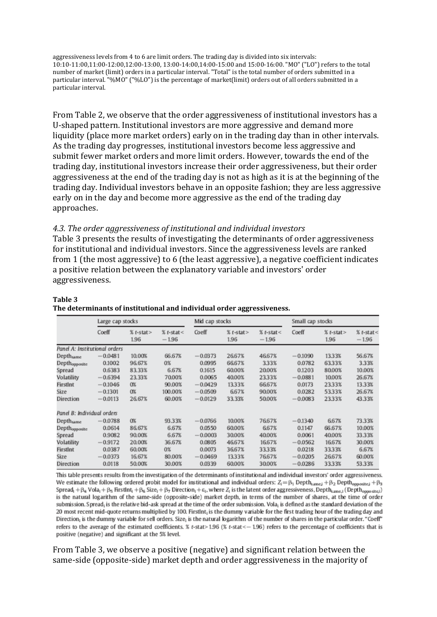aggressiveness levels from 4 to 6 are limit orders. The trading day is divided into six intervals: 10:10-11:00,11:00-12:00,12:00-13:00, 13:00-14:00,14:00-15:00 and 15:00-16:00. "MO" ("LO") refers to the total number of market (limit) orders in a particular interval. "Total" is the total number of orders submitted in a particular interval. "%MO" ("%LO") is the percentage of market(limit) orders out of all orders submitted in a particular interval.

From Table 2, we observe that the order aggressiveness of institutional investors has a U-shaped pattern. Institutional investors are more aggressive and demand more liquidity (place more market orders) early on in the trading day than in other intervals. As the trading day progresses, institutional investors become less aggressive and submit fewer market orders and more limit orders. However, towards the end of the trading day, institutional investors increase their order aggressiveness, but their order aggressiveness at the end of the trading day is not as high as it is at the beginning of the trading day. Individual investors behave in an opposite fashion; they are less aggressive early on in the day and become more aggressive as the end of the trading day approaches.

#### *4.3. The order aggressiveness of institutional and individual investors*

[Table 3](#page-10-0) presents the results of investigating the determinants of order aggressiveness for institutional and individual investors. Since the aggressiveness levels are ranked from 1 (the most aggressive) to 6 (the least aggressive), a negative coefficient indicates a positive relation between the explanatory variable and investors' order aggressiveness.

|                               | Large cap stocks |                     |                        | Mid cap stocks |                   |                        | Small cap stocks |                      |                        |
|-------------------------------|------------------|---------------------|------------------------|----------------|-------------------|------------------------|------------------|----------------------|------------------------|
|                               | Coeff            | $%$ t-stat><br>1.96 | $%$ t-stat<<br>$-1.96$ | Coeff          | $%t-stat$<br>1.96 | $%t-stat <$<br>$-1.96$ | Coeff            | $%$ t-stat ><br>1.96 | $%t$ -stat<<br>$-1.96$ |
| Panel A: Institutional orders |                  |                     |                        |                |                   |                        |                  |                      |                        |
| Depthsame                     | $-0.0481$        | 10.00%              | 66.67%                 | $-0.0373$      | 26.67%            | 46.67%                 | $-0.1090$        | 13.33%               | 56.67%                 |
| Depthopposite                 | 0.1002           | 96.67%              | 0%                     | 0.0995         | 66.67%            | 3.33%                  | 0.0782           | 63.33%               | 3.33%                  |
| Spread                        | 0.6383           | 83.33%              | 6.67%                  | 0.1615         | 60.00%            | 20.00%                 | 0.1203           | 80.00%               | 10.00%                 |
| Volatility                    | $-0.6394$        | 23.33%              | 70.00%                 | 0.0065         | 40.00%            | 23.33%                 | $-0.0881$        | 10.00%               | 26.67%                 |
| FirstInt                      | $-0.1046$        | O%                  | 90.00%                 | $-0.0429$      | 13.33%            | 66.67%                 | 0.0173           | 2333%                | 13.33%                 |
| Size                          | $-0.1301$        | O%                  | 100.00%                | $-0.0509$      | 6.67%             | 90.00%                 | 0.0282           | 53.33%               | 26.67%                 |
| Direction                     | $-0.0113$        | 26.67%              | 60.00%                 | $-0.0129$      | 33.33%            | 50.00%                 | $-0.0083$        | 23.33%               | 43.33%                 |
| Panel B: Individual orders    |                  |                     |                        |                |                   |                        |                  |                      |                        |
| Depthsame                     | $-0.0788$        | O%                  | 93.33%                 | $-0.0766$      | 10.00%            | 76.67%                 | $-0.1340$        | 6.67%                | 73.33%                 |
| Depthopposite                 | 0.0614           | 86.67%              | 6.67%                  | 0.0550         | 60.00%            | 6.67%                  | 0.1147           | 66.67%               | 10.00%                 |
| Spread                        | 0.9082           | 90.00%              | 6.67%                  | $-0.0003$      | 30.00%            | 40.00%                 | 0.0061           | 40.00%               | 33.33%                 |
| Volatility                    | $-0.9172$        | 20.00%              | 36.67%                 | 0.0805         | 46.67%            | 16.67%                 | $-0.0562$        | 16.67%               | 30.00%                 |
| FirstInt                      | 0.0387           | 60.00%              | 0%                     | 0.0073         | 36.67%            | 33.33%                 | 0.0218           | 33.33%               | 6.67%                  |
| Size                          | $-0.0373$        | 16.67%              | 80.00%                 | $-0.0469$      | 13.33%            | 76.67%                 | $-0.0205$        | 26.67%               | 60.00%                 |
| Direction                     | 0.0118           | 50.00%              | 30.00%                 | 0.0339         | 60.00%            | 30.00%                 | $-0.0286$        | 33.33%               | 53.33%                 |

#### **Table 3 The determinants of institutional and individual order aggressiveness.**

This table presents results from the investigation of the determinants of institutional and individual investors' order aggressiveness. We estimate the following ordered probit model for institutional and individual orders:  $Z_i = \beta_1$  Depth<sub>same</sub>; + $\beta_2$  Depth<sub>opposite;</sub> + $\beta_3$ Spread<sub>1</sub> +  $\beta_4$  Vola<sub>1</sub> +  $\beta_5$  FirstInt<sub>i</sub> +  $\beta_6$  Size<sub>1</sub> +  $\beta_7$  Direction<sub>1</sub> +  $\varepsilon_1$ , where  $Z_1$  is the latent order aggressiveness, Depth<sub>same, 1</sub> (Depth<sub>opposite<sub>1</sub>)</sub> is the natural logarithm of the same-side (opposite-side) market depth, in terms of the number of shares, at the time of order submission. Spread, is the relative bid-ask spread at the time of the order submission. Vola, is defined as the standard deviation of the 20 most recent mid-quote returns multiplied by 100. FirstInt, is the dummy variable for the first trading hour of the trading day and Direction<sub>i</sub> is the dummy variable for sell orders. Size<sub>i</sub> is the natural logarithm of the number of shares in the particular order. "Coeff" refers to the average of the estimated coefficients. % t-stat>1.96 (% t-stat < $-1.96$ ) refers to the percentage of coefficients that is positive (negative) and significant at the 5% level.

From [Table 3,](#page-10-0) we observe a positive (negative) and significant relation between the same-side (opposite-side) market depth and order aggressiveness in the majority of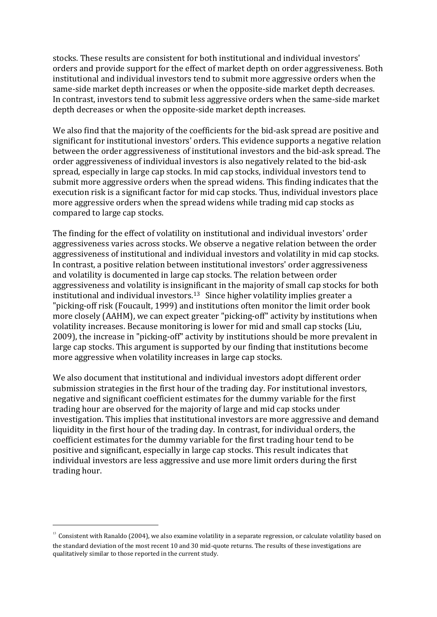stocks. These results are consistent for both institutional and individual investors' orders and provide support for the effect of market depth on order aggressiveness. Both institutional and individual investors tend to submit more aggressive orders when the same-side market depth increases or when the opposite-side market depth decreases. In contrast, investors tend to submit less aggressive orders when the same-side market depth decreases or when the opposite-side market depth increases.

We also find that the majority of the coefficients for the bid-ask spread are positive and significant for institutional investors' orders. This evidence supports a negative relation between the order aggressiveness of institutional investors and the bid-ask spread. The order aggressiveness of individual investors is also negatively related to the bid-ask spread, especially in large cap stocks. In mid cap stocks, individual investors tend to submit more aggressive orders when the spread widens. This finding indicates that the execution risk is a significant factor for mid cap stocks. Thus, individual investors place more aggressive orders when the spread widens while trading mid cap stocks as compared to large cap stocks.

The finding for the effect of volatility on institutional and individual investors' order aggressiveness varies across stocks. We observe a negative relation between the order aggressiveness of institutional and individual investors and volatility in mid cap stocks. In contrast, a positive relation between institutional investors' order aggressiveness and volatility is documented in large cap stocks. The relation between order aggressiveness and volatility is insignificant in the majority of small cap stocks for both institutional and individual investors.<sup>13</sup> Since higher volatility implies greater a "picking-off risk [\(Foucault, 1999\)](#page-17-3) and institutions often monitor the limit order book more closely (AAHM), we can expect greater "picking-off" activity by institutions when volatility increases. Because monitoring is lower for mid and small cap stocks [\(Liu,](#page-17-0)  [2009\)](#page-17-0), the increase in "picking-off" activity by institutions should be more prevalent in large cap stocks. This argument is supported by our finding that institutions become more aggressive when volatility increases in large cap stocks.

We also document that institutional and individual investors adopt different order submission strategies in the first hour of the trading day. For institutional investors, negative and significant coefficient estimates for the dummy variable for the first trading hour are observed for the majority of large and mid cap stocks under investigation. This implies that institutional investors are more aggressive and demand liquidity in the first hour of the trading day. In contrast, for individual orders, the coefficient estimates for the dummy variable for the first trading hour tend to be positive and significant, especially in large cap stocks. This result indicates that individual investors are less aggressive and use more limit orders during the first trading hour.

<span id="page-10-0"></span><sup>&</sup>lt;sup>13</sup> Consistent with [Ranaldo \(2004\),](#page-17-0) we also examine volatility in a separate regression, or calculate volatility based on the standard deviation of the most recent 10 and 30 mid-quote returns. The results of these investigations are qualitatively similar to those reported in the current study.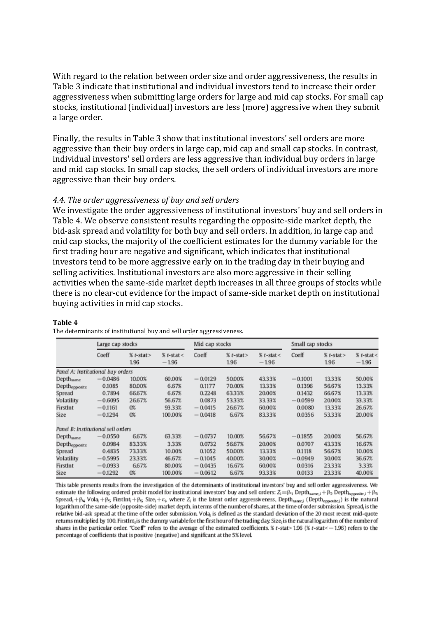With regard to the relation between order size and order aggressiveness, the results in [Table 3](#page-10-0) indicate that institutional and individual investors tend to increase their order aggressiveness when submitting large orders for large and mid cap stocks. For small cap stocks, institutional (individual) investors are less (more) aggressive when they submit a large order.

Finally, the results in [Table 3](#page-10-0) show that institutional investors' sell orders are more aggressive than their buy orders in large cap, mid cap and small cap stocks. In contrast, individual investors' sell orders are less aggressive than individual buy orders in large and mid cap stocks. In small cap stocks, the sell orders of individual investors are more aggressive than their buy orders.

#### *4.4. The order aggressiveness of buy and sell orders*

We investigate the order aggressiveness of institutional investors' buy and sell orders in [Table 4.](#page-11-0) We observe consistent results regarding the opposite-side market depth, the bid-ask spread and volatility for both buy and sell orders. In addition, in large cap and mid cap stocks, the majority of the coefficient estimates for the dummy variable for the first trading hour are negative and significant, which indicates that institutional investors tend to be more aggressive early on in the trading day in their buying and selling activities. Institutional investors are also more aggressive in their selling activities when the same-side market depth increases in all three groups of stocks while there is no clear-cut evidence for the impact of same-side market depth on institutional buying activities in mid cap stocks.

#### <span id="page-11-0"></span>**Table 4**

|                                    | Large cap stocks |                     |                        | Mid cap stocks |                   |                        | Small cap stocks |                      |                        |
|------------------------------------|------------------|---------------------|------------------------|----------------|-------------------|------------------------|------------------|----------------------|------------------------|
|                                    | Coeff            | $%$ t-stat><br>1.96 | $%$ t-stat<<br>$-1.96$ | Coeff          | $%t-stat$<br>1.96 | $%t-stat <$<br>$-1.96$ | Coeff            | $%$ t-stat ><br>1.96 | $%t-stat <$<br>$-1.96$ |
| Panel A: Institutional buy orders  |                  |                     |                        |                |                   |                        |                  |                      |                        |
| Depth <sub>same</sub>              | $-0.0486$        | 10.00%              | 60.00%                 | $-0.0129$      | 50.00%            | 43.33%                 | $-0.1001$        | 13.33%               | 50.00%                 |
| Depthopposite                      | 0.1085           | 80.00%              | 6.67%                  | 0.1177         | 70.00%            | 13.33%                 | 0.1396           | 56.67%               | 13.33%                 |
| Spread                             | 0.7894           | 66.67%              | 6.67%                  | 0.2248         | 63.33%            | 20.00%                 | 0.1432           | 66.67%               | 13.33%                 |
| Volatility                         | $-0.6095$        | 26.67%              | 56.67%                 | 0.0873         | 53.33%            | 33.33%                 | $-0.0599$        | 20.00%               | 33.33%                 |
| FirstInt                           | $-0.1161$        | O%                  | 93.33%                 | $-0.0415$      | 26.67%            | 60.00%                 | 0.0080           | 13.33%               | 26.67%                 |
| Size                               | $-0.1294$        | O%                  | 100.00%                | $-0.0418$      | 6.67%             | 83.33%                 | 0.0356           | 53.33%               | 20.00%                 |
| Panel B: Institutional sell orders |                  |                     |                        |                |                   |                        |                  |                      |                        |
| $Depth_{same}$                     | $-0.0550$        | 6.67%               | 63.33%                 | $-0.0737$      | 10.00%            | 56.67%                 | $-0.1855$        | 20.00%               | 56.67%                 |
| Depthopposite                      | 0.0984           | 83.33%              | 3.33%                  | 0.0732         | 56.67%            | 20.00%                 | 0.0707           | 43.33%               | 16.67%                 |
| Spread                             | 0.4835           | 73.33%              | 10.00%                 | 0.1052         | 50.00%            | 13.33%                 | 0.1118           | 56.67%               | 10.00%                 |
| Volatility                         | $-0.5995$        | 23.33%              | 46.67%                 | $-0.1045$      | 40.00%            | 30.00%                 | $-0.0949$        | 30.00%               | 36.67%                 |
| FirstInt                           | $-0.0933$        | 6.67%               | 80.00%                 | $-0.0435$      | 16.67%            | 60.00%                 | 0.0316           | 23.33%               | 3.33%                  |
| Size                               | $-0.1292$        | O%                  | 100.00%                | $-0.0612$      | 6.67%             | 93.33%                 | 0.0133           | 23.33%               | 40.00%                 |

The determinants of institutional buy and sell order aggressiveness.

This table presents results from the investigation of the determinants of institutional investors' buy and sell order aggressiveness. We estimate the following ordered probit model for institutional investors' buy and sell orders:  $Z_i = \beta_1$  Depth<sub>same, i</sub> +  $\beta_2$  Depth<sub>spposite, i</sub> +  $\beta_3$ Spread<sub>1</sub> +  $\beta_4$  Vola<sub>i</sub> +  $\beta_5$  FirstInt<sub>i</sub> +  $\beta_6$  Size<sub>i</sub> +  $\varepsilon$ <sub>i</sub>, where  $Z_i$  is the latent order aggressiveness, Depth<sub>samej</sub> (Depth<sub>oppostej</sub>) is the natural logarithm of the same-side (opposite-side) market depth, in terms of the number of shares, at the time of order submission. Spread, is the relative bid-ask spread at the time of the order submission. Vola, is defined as the standard deviation of the 20 most recent mid-quote retums multiplied by 100. FirstInt<sub>i</sub> is the dummy variable for the first hour of the trading day. Size<sub>i</sub> is the natural logarithm of the number of shares in the particular order. "Coeff" refers to the average of the estimated coefficients. % t-stat> 1.96 (% t-stat<-1.96) refers to the percentage of coefficients that is positive (negative) and significant at the 5% level.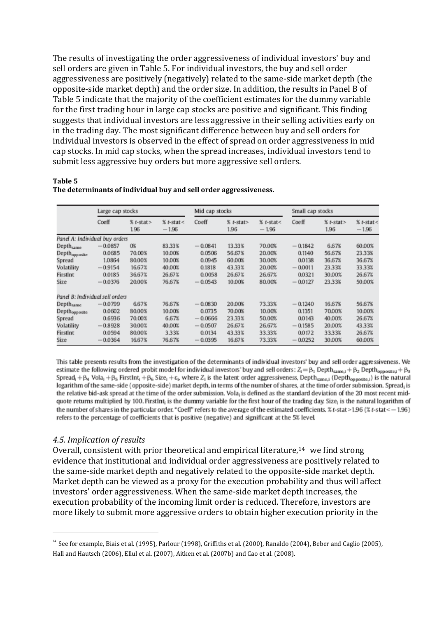The results of investigating the order aggressiveness of individual investors' buy and sell orders are given in Table 5. For individual investors, the buy and sell order aggressiveness are positively (negatively) related to the same-side market depth (the opposite-side market depth) and the order size. In addition, the results in Panel B of Table 5 indicate that the majority of the coefficient estimates for the dummy variable for the first trading hour in large cap stocks are positive and significant. This finding suggests that individual investors are less aggressive in their selling activities early on in the trading day. The most significant difference between buy and sell orders for individual investors is observed in the effect of spread on order aggressiveness in mid cap stocks. In mid cap stocks, when the spread increases, individual investors tend to submit less aggressive buy orders but more aggressive sell orders.

#### **Table 5**

|                                 | Large cap stocks |                      |                        | Mid cap stocks |                     |                        | Small cap stocks |                      |                        |
|---------------------------------|------------------|----------------------|------------------------|----------------|---------------------|------------------------|------------------|----------------------|------------------------|
|                                 | Coeff            | $%$ t-stat ><br>1.96 | $%$ t-stat<<br>$-1.96$ | Coeff          | $%$ t-stat><br>1.96 | $%$ t-stat<<br>$-1.96$ | Coeff            | $%$ t-stat ><br>1.96 | $%$ t-stat<<br>$-1.96$ |
| Panel A: Individual buy orders  |                  |                      |                        |                |                     |                        |                  |                      |                        |
| $Depth_{same}$                  | $-0.0857$        | O%                   | 83.33%                 | $-0.0841$      | 13.33%              | 70.00%                 | $-0.1842$        | 6.67%                | 60.00%                 |
| Depth <sub>opposite</sub>       | 0.0685           | 70.00%               | 10.00%                 | 0.0506         | 56.67%              | 20.00%                 | 0.1140           | 56.67%               | 23.33%                 |
| Spread                          | 1.0864           | 80.00%               | 10.00%                 | 0.0945         | 60.00%              | 30.00%                 | 0.0138           | 36.67%               | 36.67%                 |
| Volatility                      | $-0.9154$        | 16.67%               | 40.00%                 | 0.1818         | 43.33%              | 20.00%                 | $-0.0011$        | 23.33%               | 33.33%                 |
| FirstInt                        | 0.0185           | 36.67%               | 26.67%                 | 0.0058         | 26.67%              | 26.67%                 | 0.0321           | 30.00%               | 26.67%                 |
| Size                            | $-0.0376$        | 20.00%               | 76.67%                 | $-0.0543$      | 10.00%              | 80.00%                 | $-0.0127$        | 23.33%               | 50.00%                 |
| Panel B: Individual sell orders |                  |                      |                        |                |                     |                        |                  |                      |                        |
| Depth <sub>same</sub>           | $-0.0799$        | 6.67%                | 76.67%                 | $-0.0830$      | 20.00%              | 73.33%                 | $-0.1240$        | 16.67%               | 56.67%                 |
| Depthopposite                   | 0.0602           | 80.00%               | 10.00%                 | 0.0735         | 70.00%              | 10.00%                 | 0.1351           | 70.00%               | 10.00%                 |
| Spread                          | 0.6936           | 70.00%               | 6.67%                  | $-0.0666$      | 23.33%              | 50.00%                 | 0.0143           | 40.00%               | 26.67%                 |
| Volatility                      | $-0.8928$        | 30.00%               | 40.00%                 | $-0.0507$      | 26.67%              | 26.67%                 | $-0.1585$        | 20.00%               | 43.33%                 |
| FirstInt                        | 0.0594           | 80.00%               | 3.33%                  | 0.0134         | 43.33%              | 33.33%                 | 0.0172           | 33.33%               | 26.67%                 |
| Size                            | $-0.0364$        | 16.67%               | 76.67%                 | $-0.0395$      | 16.67%              | 73.33%                 | $-0.0252$        | 30.00%               | 60.00%                 |

#### **The determinants of individual buy and sell order aggressiveness.**

This table presents results from the investigation of the determinants of individual investors' buy and sell order aggressiveness. We estimate the following ordered probit model for individual investors' buy and sell orders:  $Z_i = \beta_1$  Depth<sub>same, i</sub> +  $\beta_2$  Depth<sub>opposite</sub> +  $\beta_3$ Spread<sub>1</sub> +  $\beta_4$  Vola<sub>1</sub> +  $\beta_5$  FirstInt<sub>1</sub> +  $\beta_6$  Size<sub>1</sub> +  $\varepsilon_1$ , where Z<sub>1</sub> is the latent order aggressiveness, Depth<sub>same, 1</sub> (Depth<sub>opposite, 1</sub>) is the natural logarithm of the same-side (opposite-side) market depth, in terms of the number of shares, at the time of order submission. Spread, is the relative bid-ask spread at the time of the order submission. Vola, is defined as the standard deviation of the 20 most recent midquote returns multiplied by 100. FirstInt, is the dummy variable for the first hour of the trading day. Size, is the natural logarithm of the number of shares in the particular order. "Coeff" refers to the average of the estimated coefficients. % t-stat>1.96 (% t-stat < - 1.96) refers to the percentage of coefficients that is positive (negative) and significant at the 5% level.

#### *4.5. Implication of results*

<u>.</u>

Overall, consistent with prior theoretical and empirical literature, $14$  we find strong evidence that institutional and individual order aggressiveness are positively related to the same-side market depth and negatively related to the opposite-side market depth. Market depth can be viewed as a proxy for the execution probability and thus will affect investors' order aggressiveness. When the same-side market depth increases, the execution probability of the incoming limit order is reduced. Therefore, investors are more likely to submit more aggressive orders to obtain higher execution priority in the

<sup>&</sup>lt;sup>14</sup> See for example[, Biais et al. \(1995\),](#page-16-0) [Parlour \(1998\), Griffiths et al. \(2000\), Ranaldo \(2004\),](#page-17-0) Beber and Caglio (2005), [Hall and Hautsch \(2006\),](#page-17-0) [Ellul et al. \(2007\),](#page-17-1) [Aitken et al. \(2007b\)](#page-15-0) an[d Cao et al. \(2008\).](#page-16-13)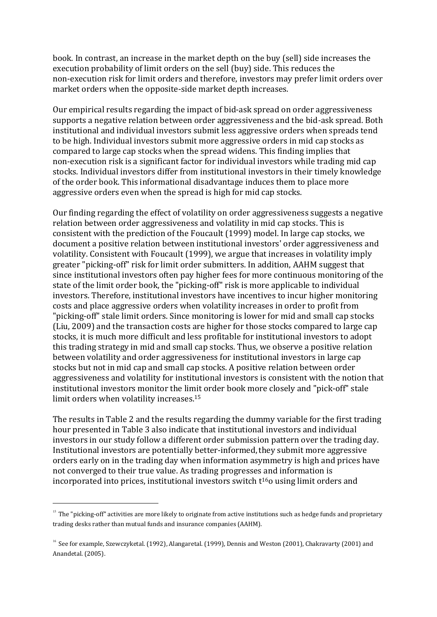book. In contrast, an increase in the market depth on the buy (sell) side increases the execution probability of limit orders on the sell (buy) side. This reduces the non-execution risk for limit orders and therefore, investors may prefer limit orders over market orders when the opposite-side market depth increases.

Our empirical results regarding the impact of bid-ask spread on order aggressiveness supports a negative relation between order aggressiveness and the bid-ask spread. Both institutional and individual investors submit less aggressive orders when spreads tend to be high. Individual investors submit more aggressive orders in mid cap stocks as compared to large cap stocks when the spread widens. This finding implies that non-execution risk is a significant factor for individual investors while trading mid cap stocks. Individual investors differ from institutional investors in their timely knowledge of the order book. This informational disadvantage induces them to place more aggressive orders even when the spread is high for mid cap stocks.

Our finding regarding the effect of volatility on order aggressiveness suggests a negative relation between order aggressiveness and volatility in mid cap stocks. This is consistent with the prediction of the [Foucault \(1999\)](#page-17-3) model. In large cap stocks, we document a positive relation between institutional investors' order aggressiveness and volatility. Consistent with [Foucault \(1999\),](#page-17-3) we argue that increases in volatility imply greater "picking-off" risk for limit order submitters. In addition, AAHM suggest that since institutional investors often pay higher fees for more continuous monitoring of the state of the limit order book, the "picking-off" risk is more applicable to individual investors. Therefore, institutional investors have incentives to incur higher monitoring costs and place aggressive orders when volatility increases in order to profit from "picking-off" stale limit orders. Since monitoring is lower for mid and small cap stocks [\(Liu, 2009\)](#page-17-0) and the transaction costs are higher for those stocks compared to large cap stocks, it is much more difficult and less profitable for institutional investors to adopt this trading strategy in mid and small cap stocks. Thus, we observe a positive relation between volatility and order aggressiveness for institutional investors in large cap stocks but not in mid cap and small cap stocks. A positive relation between order aggressiveness and volatility for institutional investors is consistent with the notion that institutional investors monitor the limit order book more closely and "pick-off" stale limit orders when volatility increases.<sup>15</sup>

The results in Table 2 and the results regarding the dummy variable for the first trading hour presented in [Table 3](#page-10-0) also indicate that institutional investors and individual investors in our study follow a different order submission pattern over the trading day. Institutional investors are potentially better-informed, they submit more aggressive orders early on in the trading day when information asymmetry is high and prices have not converged to their true value. As trading progresses and information is incorporated into prices, institutional investors switch  $t^{16}$ o using limit orders and

<sup>&</sup>lt;sup>15</sup> The "picking-off" activities are more likely to originate from active institutions such as hedge funds and proprietary trading desks rather than mutual funds and insurance companies (AAHM).

<sup>&</sup>lt;sup>16</sup> See for example[, Szewczyketal. \(1992\),](#page-17-0) [Alangaretal. \(1999\),](#page-16-7) [Dennis and Weston \(2001\),](#page-17-4) [Chakravarty \(2001\)](#page-16-8) and [Anandetal. \(2005\).](#page-16-5)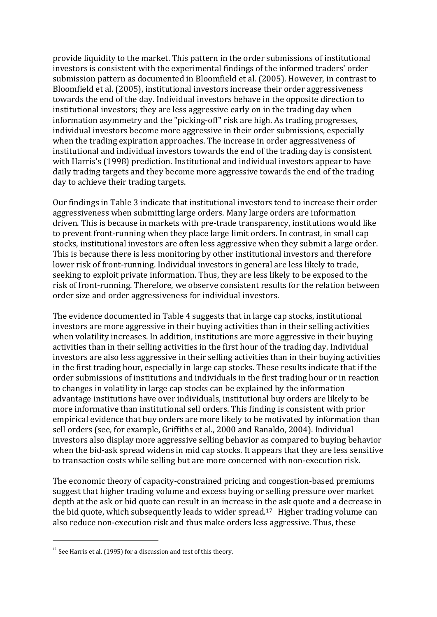provide liquidity to the market. This pattern in the order submissions of institutional investors is consistent with the experimental findings of the informed traders' order submission pattern as documented in [Bloomfield et al. \(2005\).](#page-16-1) However, in contrast to [Bloomfield et al. \(2005\),](#page-16-1) institutional investors increase their order aggressiveness towards the end of the day. Individual investors behave in the opposite direction to institutional investors; they are less aggressive early on in the trading day when information asymmetry and the "picking-off" risk are high. As trading progresses, individual investors become more aggressive in their order submissions, especially when the trading expiration approaches. The increase in order aggressiveness of institutional and individual investors towards the end of the trading day is consistent with [Harris's \(1998\)](#page-17-0) prediction. Institutional and individual investors appear to have daily trading targets and they become more aggressive towards the end of the trading day to achieve their trading targets.

Our findings in [Table 3](#page-10-0) indicate that institutional investors tend to increase their order aggressiveness when submitting large orders. Many large orders are information driven. This is because in markets with pre-trade transparency, institutions would like to prevent front-running when they place large limit orders. In contrast, in small cap stocks, institutional investors are often less aggressive when they submit a large order. This is because there is less monitoring by other institutional investors and therefore lower risk of front-running. Individual investors in general are less likely to trade, seeking to exploit private information. Thus, they are less likely to be exposed to the risk of front-running. Therefore, we observe consistent results for the relation between order size and order aggressiveness for individual investors.

The evidence documented in [Table 4](#page-11-0) suggests that in large cap stocks, institutional investors are more aggressive in their buying activities than in their selling activities when volatility increases. In addition, institutions are more aggressive in their buying activities than in their selling activities in the first hour of the trading day. Individual investors are also less aggressive in their selling activities than in their buying activities in the first trading hour, especially in large cap stocks. These results indicate that if the order submissions of institutions and individuals in the first trading hour or in reaction to changes in volatility in large cap stocks can be explained by the information advantage institutions have over individuals, institutional buy orders are likely to be more informative than institutional sell orders. This finding is consistent with prior empirical evidence that buy orders are more likely to be motivated by information than sell orders (see, for example, [Griffiths et al., 2000 and Ranaldo, 2004\)](#page-17-0). Individual investors also display more aggressive selling behavior as compared to buying behavior when the bid-ask spread widens in mid cap stocks. It appears that they are less sensitive to transaction costs while selling but are more concerned with non-execution risk.

The economic theory of capacity-constrained pricing and congestion-based premiums suggest that higher trading volume and excess buying or selling pressure over market depth at the ask or bid quote can result in an increase in the ask quote and a decrease in the bid quote, which subsequently leads to wider spread.<sup>17</sup> Higher trading volume can also reduce non-execution risk and thus make orders less aggressive. Thus, these

 $17$  Se[e Harris et al. \(1995\)](#page-17-0) for a discussion and test of this theory.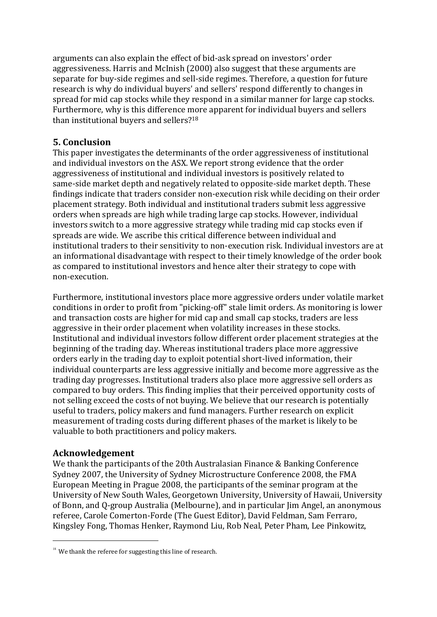arguments can also explain the effect of bid-ask spread on investors' order aggressiveness. [Harris and McInish \(2000\)](#page-17-0) also suggest that these arguments are separate for buy-side regimes and sell-side regimes. Therefore, a question for future research is why do individual buyers' and sellers' respond differently to changes in spread for mid cap stocks while they respond in a similar manner for large cap stocks. Furthermore, why is this difference more apparent for individual buyers and sellers than institutional buyers and sellers?<sup>18</sup>

## <span id="page-15-1"></span>**5. Conclusion**

This paper investigates the determinants of the order aggressiveness of institutional and individual investors on the ASX. We report strong evidence that the order aggressiveness of institutional and individual investors is positively related to same-side market depth and negatively related to opposite-side market depth. These findings indicate that traders consider non-execution risk while deciding on their order placement strategy. Both individual and institutional traders submit less aggressive orders when spreads are high while trading large cap stocks. However, individual investors switch to a more aggressive strategy while trading mid cap stocks even if spreads are wide. We ascribe this critical difference between individual and institutional traders to their sensitivity to non-execution risk. Individual investors are at an informational disadvantage with respect to their timely knowledge of the order book as compared to institutional investors and hence alter their strategy to cope with non-execution.

<span id="page-15-0"></span>Furthermore, institutional investors place more aggressive orders under volatile market conditions in order to profit from "picking-off" stale limit orders. As monitoring is lower and transaction costs are higher for mid cap and small cap stocks, traders are less aggressive in their order placement when volatility increases in these stocks. Institutional and individual investors follow different order placement strategies at the beginning of the trading day. Whereas institutional traders place more aggressive orders early in the trading day to exploit potential short-lived information, their individual counterparts are less aggressive initially and become more aggressive as the trading day progresses. Institutional traders also place more aggressive sell orders as compared to buy orders. This finding implies that their perceived opportunity costs of not selling exceed the costs of not buying. We believe that our research is potentially useful to traders, policy makers and fund managers. Further research on explicit measurement of trading costs during different phases of the market is likely to be valuable to both practitioners and policy makers.

## **Acknowledgement**

.

We thank the participants of the 20th Australasian Finance & Banking Conference Sydney 2007, the University of Sydney Microstructure Conference 2008, the FMA European Meeting in Prague 2008, the participants of the seminar program at the University of New South Wales, Georgetown University, University of Hawaii, University of Bonn, and Q-group Australia (Melbourne), and in particular Jim Angel, an anonymous referee, Carole Comerton-Forde (The Guest Editor), David Feldman, Sam Ferraro, Kingsley Fong, Thomas Henker, Raymond Liu, Rob Neal, Peter Pham, Lee Pinkowitz,

 $18$  We thank the referee for suggesting this line of research.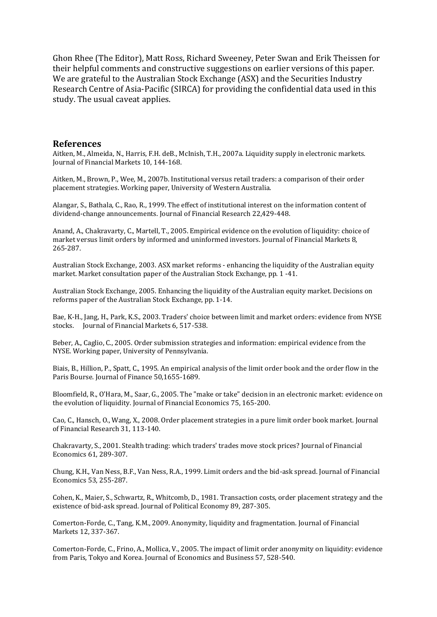Ghon Rhee (The Editor), Matt Ross, Richard Sweeney, Peter Swan and Erik Theissen for their helpful comments and constructive suggestions on earlier versions of this paper. We are grateful to the Australian Stock Exchange (ASX) and the Securities Industry Research Centre of Asia-Pacific (SIRCA) for providing the confidential data used in this study. The usual caveat applies.

#### **References**

Aitken, M., Almeida, N., Harris, F.H. deB., McInish, T.H., 2007a. Liquidity supply in electronic markets. Journal of Financial Markets 10, 144-168.

<span id="page-16-7"></span>Aitken, M., Brown, P., Wee, M., 2007b. Institutional versus retail traders: a comparison of their order placement strategies. Working paper, University of Western Australia.

<span id="page-16-5"></span>Alangar, S., Bathala, C., Rao, R., 1999. The effect of institutional interest on the information content of dividend-change announcements. Journal of Financial Research 22,429-448.

<span id="page-16-10"></span>Anand, A., Chakravarty, C., Martell, T., 2005. Empirical evidence on the evolution of liquidity: choice of market versus limit orders by informed and uninformed investors. Journal of Financial Markets 8, 265-287.

<span id="page-16-9"></span><span id="page-16-3"></span>Australian Stock Exchange, 2003. ASX market reforms - enhancing the liquidity of the Australian equity market. Market consultation paper of the Australian Stock Exchange, pp. 1 -41.

Australian Stock Exchange, 2005. Enhancing the liquidity of the Australian equity market. Decisions on reforms paper of the Australian Stock Exchange, pp. 1-14.

<span id="page-16-4"></span>Bae, K-H., Jang, H., Park, K.S., 2003. Traders' choice between limit and market orders: evidence from NYSE stocks. Journal of Financial Markets 6, 517-538.

<span id="page-16-0"></span>Beber, A., Caglio, C., 2005. Order submission strategies and information: empirical evidence from the NYSE. Working paper, University of Pennsylvania.

<span id="page-16-1"></span>Biais, B., Hillion, P., Spatt, C., 1995. An empirical analysis of the limit order book and the order flow in the Paris Bourse. Journal of Finance 50,1655-1689.

<span id="page-16-13"></span>Bloomfield, R., O'Hara, M., Saar, G., 2005. The "make or take" decision in an electronic market: evidence on the evolution of liquidity. Journal of Financial Economics 75, 165-200.

Cao, C., Hansch, O., Wang, X., 2008. Order placement strategies in a pure limit order book market. Journal of Financial Research 31, 113-140.

<span id="page-16-8"></span><span id="page-16-2"></span>Chakravarty, S., 2001. Stealth trading: which traders' trades move stock prices? Journal of Financial Economics 61, 289-307.

Chung, K.H., Van Ness, B.F., Van Ness, R.A., 1999. Limit orders and the bid-ask spread. Journal of Financial Economics 53, 255-287.

<span id="page-16-12"></span><span id="page-16-11"></span>Cohen, K., Maier, S., Schwartz, R., Whitcomb, D., 1981. Transaction costs, order placement strategy and the existence of bid-ask spread. Journal of Political Economy 89, 287-305.

Comerton-Forde, C., Tang, K.M., 2009. Anonymity, liquidity and fragmentation. Journal of Financial Markets 12, 337-367.

<span id="page-16-6"></span>Comerton-Forde, C., Frino, A., Mollica, V., 2005. The impact of limit order anonymity on liquidity: evidence from Paris, Tokyo and Korea. Journal of Economics and Business 57, 528-540.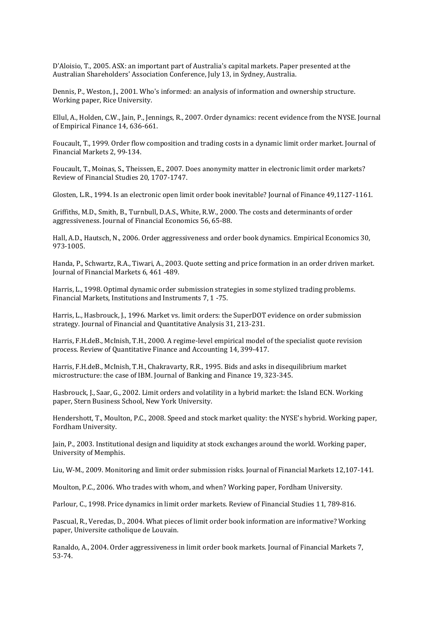<span id="page-17-4"></span><span id="page-17-3"></span><span id="page-17-1"></span>D'Aloisio, T., 2005. ASX: an important part of Australia's capital markets. Paper presented at the Australian Shareholders' Association Conference, July 13, in Sydney, Australia.

Dennis, P., Weston, J., 2001. Who's informed: an analysis of information and ownership structure. Working paper, Rice University.

Ellul, A., Holden, C.W., Jain, P., Jennings, R., 2007. Order dynamics: recent evidence from the NYSE. Journal of Empirical Finance 14, 636-661.

<span id="page-17-5"></span><span id="page-17-2"></span>Foucault, T., 1999. Order flow composition and trading costs in a dynamic limit order market. Journal of Financial Markets 2, 99-134.

Foucault, T., Moinas, S., Theissen, E., 2007. Does anonymity matter in electronic limit order markets? Review of Financial Studies 20, 1707-1747.

<span id="page-17-0"></span>Glosten, L.R., 1994. Is an electronic open limit order book inevitable? Journal of Finance 49,1127-1161.

Griffiths, M.D., Smith, B., Turnbull, D.A.S., White, R.W., 2000. The costs and determinants of order aggressiveness. Journal of Financial Economics 56, 65-88.

Hall, A.D., Hautsch, N., 2006. Order aggressiveness and order book dynamics. Empirical Economics 30, 973-1005.

Handa, P., Schwartz, R.A., Tiwari, A., 2003. Quote setting and price formation in an order driven market. Journal of Financial Markets 6, 461 -489.

Harris, L., 1998. Optimal dynamic order submission strategies in some stylized trading problems. Financial Markets, Institutions and Instruments 7, 1 -75.

Harris, L., Hasbrouck, J., 1996. Market vs. limit orders: the SuperDOT evidence on order submission strategy. Journal of Financial and Quantitative Analysis 31, 213-231.

Harris, F.H.deB., McInish, T.H., 2000. A regime-level empirical model of the specialist quote revision process. Review of Quantitative Finance and Accounting 14, 399-417.

Harris, F.H.deB., McInish, T.H., Chakravarty, R.R., 1995. Bids and asks in disequilibrium market microstructure: the case of IBM. Journal of Banking and Finance 19, 323-345.

Hasbrouck, J., Saar, G., 2002. Limit orders and volatility in a hybrid market: the Island ECN. Working paper, Stern Business School, New York University.

Hendershott, T., Moulton, P.C., 2008. Speed and stock market quality: the NYSE's hybrid. Working paper, Fordham University.

Jain, P., 2003. Institutional design and liquidity at stock exchanges around the world. Working paper, University of Memphis.

Liu, W-M., 2009. Monitoring and limit order submission risks. Journal of Financial Markets 12,107-141.

Moulton, P.C., 2006. Who trades with whom, and when? Working paper, Fordham University.

Parlour, C., 1998. Price dynamics in limit order markets. Review of Financial Studies 11, 789-816.

Pascual, R., Veredas, D., 2004. What pieces of limit order book information are informative? Working paper, Universite catholique de Louvain.

Ranaldo, A., 2004. Order aggressiveness in limit order book markets. Journal of Financial Markets 7, 53-74.